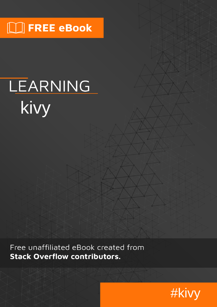# **NU FREE eBook**

# LEARNING kivy

Free unaffiliated eBook created from **Stack Overflow contributors.** 

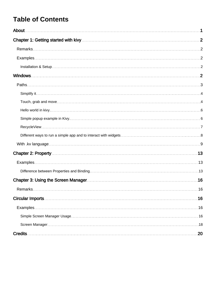### **Table of Contents**

| .16 |
|-----|
|     |
|     |
|     |
| .20 |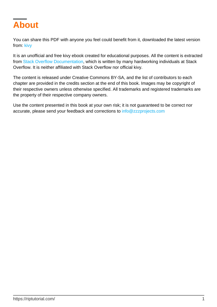<span id="page-2-0"></span>

You can share this PDF with anyone you feel could benefit from it, downloaded the latest version from: [kivy](http://riptutorial.com/ebook/kivy)

It is an unofficial and free kivy ebook created for educational purposes. All the content is extracted from [Stack Overflow Documentation](https://archive.org/details/documentation-dump.7z), which is written by many hardworking individuals at Stack Overflow. It is neither affiliated with Stack Overflow nor official kivy.

The content is released under Creative Commons BY-SA, and the list of contributors to each chapter are provided in the credits section at the end of this book. Images may be copyright of their respective owners unless otherwise specified. All trademarks and registered trademarks are the property of their respective company owners.

Use the content presented in this book at your own risk; it is not guaranteed to be correct nor accurate, please send your feedback and corrections to [info@zzzprojects.com](mailto:info@zzzprojects.com)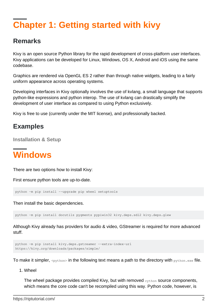# <span id="page-3-0"></span>**Chapter 1: Getting started with kivy**

### <span id="page-3-1"></span>**Remarks**

Kivy is an open source Python library for the rapid development of cross-platform user interfaces. Kivy applications can be developed for Linux, Windows, OS X, Android and iOS using the same codebase.

Graphics are rendered via OpenGL ES 2 rather than through native widgets, leading to a fairly uniform appearance across operating systems.

Developing interfaces in Kivy optionally involves the use of kvlang, a small language that supports python-like expressions and python interop. The use of kvlang can drastically simplify the development of user interface as compared to using Python exclusively.

<span id="page-3-2"></span>Kivy is free to use (currently under the MIT license), and professionally backed.

### **Examples**

<span id="page-3-3"></span>**Installation & Setup**

# <span id="page-3-4"></span>**Windows**

There are two options how to install Kivy:

First ensure python tools are up-to-date.

python -m pip install --upgrade pip wheel setuptools

Then install the basic dependencies.

python -m pip install docutils pygments pypiwin32 kivy.deps.sdl2 kivy.deps.glew

Although Kivy already has providers for audio & video, GStreamer is required for more advanced stuff.

```
python -m pip install kivy.deps.gstreamer --extra-index-url
https://kivy.org/downloads/packages/simple/
```
To make it simpler,  $\langle$ python> in the following text means a path to the directory with python.exe file.

Wheel 1.

The wheel package provides compiled Kivy, but with removed cython source components, which means the core code can't be recompiled using this way. Python code, however, is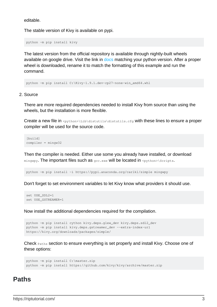editable.

The stable version of Kivy is available on pypi.

python -m pip install kivy

The latest version from the official repository is available through nightly-built wheels available on google drive. Visit the link in [docs](https://kivy.org/docs/installation/installation-windows.html#nightly-wheel-installation) matching your python version. After a proper wheel is downloaded, rename it to match the formatting of this example and run the command.

python -m pip install C:\Kivy-1.9.1.dev-cp27-none-win\_amd64.whl

#### 2. Source

There are more required dependencies needed to install Kivy from source than using the wheels, but the installation is more flexible.

Create a new file in <python>\Lib\distutils\distutils.cfg with these lines to ensure a proper compiler will be used for the source code.

[build] compiler = mingw32

Then the compiler is needed. Either use some you already have installed, or download  $m$ ingwpy. The important files such as  $qcc$ .exe will be located in  $<$ python>\Scripts.

python -m pip install -i https://pypi.anaconda.org/carlkl/simple mingwpy

Don't forget to set environment variables to let Kivy know what providers it should use.

```
set USE_SDL2=1
set USE_GSTREAMER=1
```
Now install the additional dependencies required for the compilation.

```
python -m pip install cython kivy.deps.glew_dev kivy.deps.sdl2_dev
python -m pip install kivy.deps.gstreamer_dev --extra-index-url
https://kivy.org/downloads/packages/simple/
```
Check Paths section to ensure everything is set properly and install Kivy. Choose one of these options:

```
python -m pip install C:\master.zip
python -m pip install https://github.com/kivy/kivy/archive/master.zip
```
#### <span id="page-4-0"></span>**Paths**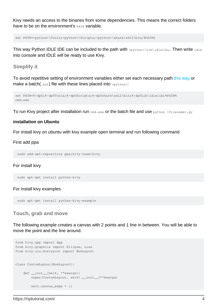Kivy needs an access to the binaries from some dependencies. This means the correct folders have to be on the environment's  $PATE$  variable.

```
set PATH=<python>\Tools;<python>\Scripts;<python>\share\sdl2\bin;%PATH%
```
This way Python IDLE IDE can be included to the path with  $\langle$ python>\Lib\idlelib;. Then write idle into console and IDLE will be ready to use Kivy.

#### <span id="page-5-0"></span>**Simplify it**

To avoid repetitive setting of environment variables either set each necessary path [this way](http://superuser.com/questions/737542) or make a batch( $\Delta_{\text{bat}}$ ) file with these lines placed into  $\langle \text{python} \rangle$ :

```
set PATH=%~dp0;%~dp0Tools;%~dp0Scripts;%~dp0share\sdl2\bin;%~dp0Lib\idlelib;%PATH%
cmd.exe
```
To run Kivy project after installation run cmd.exe or the batch file and use  $python filterame>.py$ 

#### **installation on Ubuntu**

For install kivy on ubuntu with kivy example open terminal and run following command

#### First add ppa

sudo add-apt-repository ppa:kivy-team/kivy

#### For install kivy

```
 sudo apt-get install python-kivy
```
#### For install kivy examples

sudo apt-get install python-kivy-example

#### <span id="page-5-1"></span>**Touch, grab and move**

The following example creates a canvas with 2 points and 1 line in between. You will be able to move the point and the line around.

```
from kivy.app import App
from kivy.graphics import Ellipse, Line
from kivy.uix.boxlayout import BoxLayout
class CustomLayout(BoxLayout):
     def __init__(self, **kwargs):
        super(CustomLayout, self). __init__(**kwargs)
         self.canvas_edge = {}
```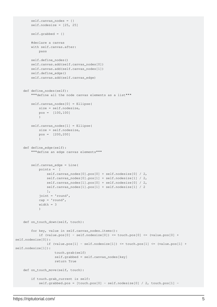```
self. can <i>vars</i> nodes = {}self.nodesize = [25, 25]self.qrabbed = \{\} #declare a canvas
         with self.canvas.after:
             pass
         self.define_nodes()
         self.canvas.add(self.canvas_nodes[0])
         self.canvas.add(self.canvas_nodes[1])
         self.define_edge()
         self.canvas.add(self.canvas_edge)
     def define_nodes(self):
         """define all the node canvas elements as a list"""
         self.canvas_nodes[0] = Ellipse(
             size = self.nodesize,
             pos = [100,100]
) self.canvas_nodes[1] = Ellipse(
            size = self.nodesize,
             pos = [200,200]
) def define_edge(self):
         """define an edge canvas elements"""
         self.canvas_edge = Line(
             points = [
                 self.canvas_nodes[0].pos[0] + self.nodesize[0] / 2,
                 self.canvas_nodes[0].pos[1] + self.nodesize[1] / 2,
                 self.canvas_nodes[1].pos[0] + self.nodesize[0] / 2,
                 self.canvas_nodes[1].pos[1] + self.nodesize[1] / 2
                 ],
             joint = 'round',
             cap = 'round',
             width = 3
) def on_touch_down(self, touch):
         for key, value in self.canvas_nodes.items():
            if (value.pos[0] - self.nodesize[0]) \leq touch.pos[0] \leq (value.pos[0] +self.nodesize[0]):
                if (value.pos[1] - self.nodesize[1]) \le touch.pos[1] \le (value.pos[1] +
self.nodesize[1]):
                     touch.grab(self)
                     self.grabbed = self.canvas_nodes[key]
                     return True
    def on_touch_move(self, touch):
         if touch.grab_current is self:
            self.grabbed.pos = [touch.pos[0] - self.nodesize[0] / 2, touch.pos[1] -
```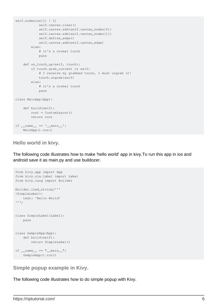```
self.nodesize[1] / 2]
            self.canvas.clear()
             self.canvas.add(self.canvas_nodes[0])
             self.canvas.add(self.canvas_nodes[1])
             self.define_edge()
             self.canvas.add(self.canvas_edge)
         else:
             # it's a normal touch
             pass
     def on_touch_up(self, touch):
         if touch.grab_current is self:
             # I receive my grabbed touch, I must ungrab it!
             touch.ungrab(self)
         else:
             # it's a normal touch
             pass
class MainApp(App):
     def build(self):
         root = CustomLayout()
         return root
if __name__ == '__main__': MainApp().run()
```
<span id="page-7-0"></span>**Hello world in kivy.**

The following code illustrates how to make 'hello world' app in kivy.To run this app in ios and android save it as main.py and use buildozer.

```
from kivy.app import App
from kivy.uix.label import Label
from kivy.lang import Builder
Builder.load_string('''
<SimpleLabel>:
    text: 'Hello World'
''')
class SimpleLabel(Label):
    pass
class SampleApp(App):
    def build(self):
        return SimpleLabel()
if __name__ == "__main__": SampleApp().run()
```
<span id="page-7-1"></span>**Simple popup example in Kivy.**

The following code illustrates how to do simple popup with Kivy.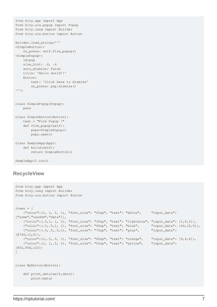```
from kivy.app import App
from kivy.uix.popup import Popup
from kivy.lang import Builder
from kivy.uix.button import Button
Builder.load_string('''
<SimpleButton>:
     on_press: self.fire_popup()
<SimplePopup>:
    id:pop
    size_hint: .4, .4
     auto_dismiss: False
     title: 'Hello world!!'
     Button:
         text: 'Click here to dismiss'
         on_press: pop.dismiss()
''')
class SimplePopup(Popup):
    pass
class SimpleButton(Button):
    text = "Fire Popup !"
     def fire_popup(self):
         pops=SimplePopup()
         pops.open()
class SampleApp(App):
     def build(self):
        return SimpleButton()
SampleApp().run()
```
#### <span id="page-8-0"></span>**RecycleView**

```
from kivy.app import App
from kivy.lang import Builder
from kivy.uix.button import Button
items = [
    {"color":(1, 1, 1, 1), "font_size": "20sp", "text": "white", "input_data":
["some", "random", "data"] },
     {"color":(.5,1, 1, 1), "font_size": "30sp", "text": "lightblue", "input_data": [1,6,3]},
     {"color":(.5,.5,1, 1), "font_size": "40sp", "text": "blue", "input_data": [64,16,9]},
     {"color":(.5,.5,.5,1), "font_size": "70sp", "text": "gray", "input_data":
[8766,13,6]},
     {"color":(1,.5,.5, 1), "font_size": "60sp", "text": "orange", "input_data": [9,4,6]},
     {"color":(1, 1,.5, 1), "font_size": "50sp", "text": "yellow", "input_data":
[852,958,123]}
]
class MyButton(Button):
    def print_data(self,data):
        print(data)
```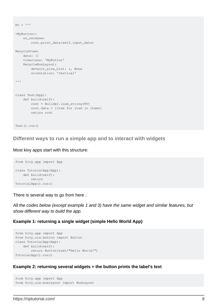```
KV = '''<MyButton>:
    on_release:
         root.print_data(self.input_data)
RecycleView:
    data: []
     viewclass: 'MyButton'
    RecycleBoxLayout:
        default_size_hint: 1, None
        orientation: 'vertical'
\mathbf{r}class Test(App):
    def build(self):
         root = Builder.load_string(KV)
         root.data = [item for item in items]
         return root
Test().run()
```
#### <span id="page-9-0"></span>**Different ways to run a simple app and to interact with widgets**

#### Most kivy apps start with this structure:

```
from kivy.app import App
class TutorialApp(App):
   def build(self):
        return
TutorialApp().run()
```
There is several way to go from here :

All the codes below (except example 1 and 3) have the same widget and similar features, but show different way to build the app.

#### **Example 1: returning a single widget (simple Hello World App)**

```
from kivy.app import App
from kivy.uix.button import Button
class TutorialApp(App):
    def build(self):
         return Button(text="Hello World!")
TutorialApp().run()
```
#### **Example 2: returning several widgets + the button prints the label's text**

```
from kivy.app import App
from kivy.uix.boxlayout import BoxLayout
```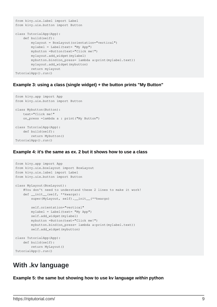```
from kivy.uix.label import Label
from kivy.uix.button import Button
class TutorialApp(App):
    def build(self):
         mylayout = BoxLayout(orientation="vertical")
         mylabel = Label(text= "My App")
         mybutton =Button(text="Click me!")
         mylayout.add_widget(mylabel)
         mybutton.bind(on_press= lambda a:print(mylabel.text))
         mylayout.add_widget(mybutton)
         return mylayout
TutorialApp().run()
```
#### **Example 3: using a class (single widget) + the button prints "My Button"**

```
from kivy.app import App
from kivy.uix.button import Button
class Mybutton(Button):
    text="Click me!"
     on_press =lambda a : print("My Button")
class TutorialApp(App):
    def build(self):
        return Mybutton()
TutorialApp().run()
```
#### **Example 4: it's the same as ex. 2 but it shows how to use a class**

```
from kivy.app import App
from kivy.uix.boxlayout import BoxLayout
from kivy.uix.label import Label
from kivy.uix.button import Button
class MyLayout(BoxLayout):
     #You don't need to understand these 2 lines to make it work!
    def __init__(self, **kwargs):
        super(MyLayout, self). __init__(**kwargs)
         self.orientation="vertical"
        mylabel = Label(text = "My App") self.add_widget(mylabel)
         mybutton =Button(text="Click me!")
         mybutton.bind(on_press= lambda a:print(mylabel.text))
         self.add_widget(mybutton)
class TutorialApp(App):
    def build(self):
        return MyLayout()
TutorialApp().run()
```
### <span id="page-10-0"></span>**With .kv language**

**Example 5: the same but showing how to use kv language within python**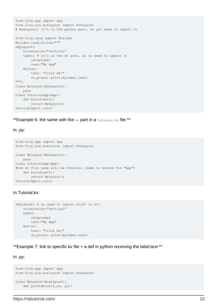```
from kivy.app import App
from kivy.uix.boxlayout import BoxLayout
# BoxLayout: it's in the python part, so you need to import it
from kivy.lang import Builder
Builder.load_string("""
<MyLayout>
     orientation:"vertical"
     Label: # it's in the kv part, so no need to import it
        id:mylabel
        text:"My App"
    Button:
        text: "Click me!"
        on_press: print(mylabel.text)
""")
class MyLayout(BoxLayout):
    pass
class TutorialApp(App):
    def build(self):
         return MyLayout()
TutorialApp().run()
```
\*\*Example 6: the same with the  $kv$  part in a  $\text{rutoff}$  subset  $\mathbf{r}$  is  $\mathbf{r}$ 

#### In .py:

```
from kivy.app import App
from kivy.uix.boxlayout import BoxLayout
class MyLayout(BoxLayout):
     pass
class TutorialApp(App):
#the kv file name will be Tutorial (name is before the "App")
    def build(self):
        return MyLayout()
TutorialApp().run()
```
#### In Tutorial.kv:

```
<MyLayout> # no need to import stuff in kv!
     orientation:"vertical"
     Label:
         id:mylabel
         text:"My App"
     Button:
         text: "Click me!"
         on_press: print(mylabel.text)
```
\*\*Example 7: link to specific kv file + a def in python receiving the label.text \*\*

In .py:

```
from kivy.app import App
from kivy.uix.boxlayout import BoxLayout
class MyLayout(BoxLayout):
     def printMe(self_xx, yy):
```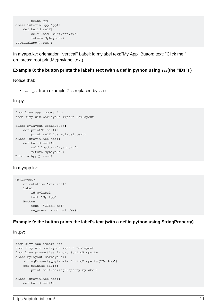```
 print(yy)
class TutorialApp(App):
    def build(self):
         self.load_kv('myapp.kv')
         return MyLayout()
TutorialApp().run()
```
In myapp.kv: orientation:"vertical" Label: id:mylabel text:"My App" Button: text: "Click me!" on\_press: root.printMe(mylabel.text)

#### **Example 8: the button prints the label's text (with a def in python using**  $_{\text{ids}}$ **(the "IDs"))**

Notice that:

•  $self\_xx$  from example 7 is replaced by  $self$ 

In .py:

```
from kivy.app import App
from kivy.uix.boxlayout import BoxLayout
class MyLayout(BoxLayout):
    def printMe(self):
        print(self.ids.mylabel.text)
class TutorialApp(App):
    def build(self):
         self.load_kv('myapp.kv')
         return MyLayout()
TutorialApp().run()
```
#### In myapp.kv:

```
<MyLayout>
    orientation:"vertical"
     Label:
        id:mylabel
        text:"My App"
     Button:
        text: "Click me!"
         on_press: root.printMe()
```
#### **Example 9: the button prints the label's text (with a def in python using StringProperty)**

In .py:

```
from kivy.app import App
from kivy.uix.boxlayout import BoxLayout
from kivy.properties import StringProperty
class MyLayout(BoxLayout):
     stringProperty_mylabel= StringProperty("My App")
     def printMe(self):
         print(self.stringProperty_mylabel)
class TutorialApp(App):
    def build(self):
```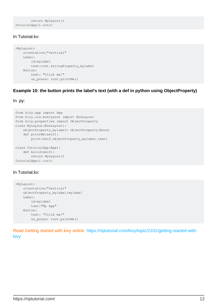```
 return MyLayout()
TutorialApp().run()
```
#### In Tutorial.kv:

```
<MyLayout>
    orientation:"vertical"
     Label:
         id:mylabel
         text:root.stringProperty_mylabel
     Button:
        text: "Click me!"
         on_press: root.printMe()
```
#### **Example 10: the button prints the label's text (with a def in python using ObjectProperty)**

In .py:

```
from kivy.app import App
from kivy.uix.boxlayout import BoxLayout
from kivy.properties import ObjectProperty
class MyLayout(BoxLayout):
     objectProperty_mylabel= ObjectProperty(None)
     def printMe(self):
         print(self.objectProperty_mylabel.text)
class TutorialApp(App):
    def build(self):
        return MyLayout()
TutorialApp().run()
```
#### In Tutorial.kv:

```
<MyLayout>
     orientation:"vertical"
     objectProperty_mylabel:mylabel
    Label:
        id:mylabel
        text:"My App"
     Button:
         text: "Click me!"
         on_press: root.printMe()
```
Read Getting started with kivy online: [https://riptutorial.com/kivy/topic/2101/getting-started-with](https://riptutorial.com/kivy/topic/2101/getting-started-with-kivy)[kivy](https://riptutorial.com/kivy/topic/2101/getting-started-with-kivy)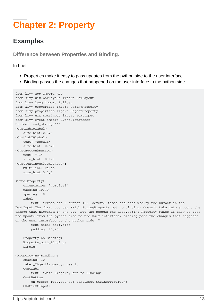## <span id="page-14-0"></span>**Chapter 2: Property**

### <span id="page-14-1"></span>**Examples**

<span id="page-14-2"></span>**Difference between Properties and Binding.**

In brief:

- Properties make it easy to pass updates from the python side to the user interface
- Binding passes the changes that happened on the user interface to the python side.

```
from kivy.app import App
from kivy.uix.boxlayout import BoxLayout
from kivy.lang import Builder
from kivy.properties import StringProperty
from kivy.properties import ObjectProperty
from kivy.uix.textinput import TextInput
from kivy.event import EventDispatcher
Builder.load_string("""
<CustLab1@Label>
     size_hint:0.3,1
<CustLab2@Label>
    text: "Result"
   size hint: 0.5,1
<CustButton@Button>
    text: "+1"
     size_hint: 0.1,1
<CustTextInput@TextInput>:
    multiline: False
     size_hint:0.1,1
<Tuto_Property>:
    orientation: "vertical"
     padding:10,10
     spacing: 10
     Label:
         text: "Press the 3 button (+1) several times and then modify the number in the
TextInput.The first counter (with StringProperty but no binding) doesn't take into account the
change that happened in the app, but the second one does.String Property makes it easy to pass
the update from the python side to the user interface, binding pass the changes that happened
on the user interface to the python side. "
        text_size: self.size
        padding: 20,20
     Property_no_Binding:
     Property_with_Binding:
     Simple:
<Property_no_Binding>:
     spacing: 10
     label_ObjectProperty: result
     CustLab1:
        text: "With Property but no Binding"
    CustButton:
         on_press: root.counter_textInput_StringProperty()
     CustTextInput:
```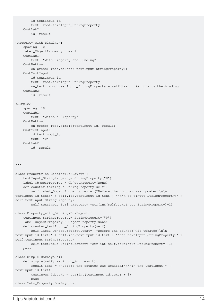```
 id:textinput_id
         text: root.textInput_StringProperty
    CustLab2: id: result
<Property_with_Binding>:
     spacing: 10
     label_ObjectProperty: result
     CustLab1:
         text: "With Property and Binding"
     CustButton:
         on_press: root.counter_textInput_StringProperty()
     CustTextInput:
         id:textinput_id
         text: root.textInput_StringProperty
         on_text: root.textInput_StringProperty = self.text ## this is the binding
     CustLab2:
        id: result
<Simple>
     spacing: 10
     CustLab1:
         text: "Without Property"
     CustButton:
        on_press: root.simple(textinput_id, result)
     CustTextInput:
         id:textinput_id
         text: "0"
     CustLab2:
         id: result
""")
class Property_no_Binding(BoxLayout):
     textInput_StringProperty= StringProperty("0")
     label_ObjectProperty = ObjectProperty(None)
     def counter_textInput_StringProperty(self):
        self.label_ObjectProperty.text= ("Before the counter was updated:\n\n
textinput_id.text:" + self.ids.textinput_id.text + "\n\n textInput_StringProperty:" +
self.textInput_StringProperty)
         self.textInput_StringProperty =str(int(self.textInput_StringProperty)+1)
class Property_with_Binding(BoxLayout):
     textInput_StringProperty= StringProperty("0")
     label_ObjectProperty = ObjectProperty(None)
     def counter_textInput_StringProperty(self):
         self.label_ObjectProperty.text= ("Before the counter was updated:\n\n
textinput_id.text:" + self.ids.textinput_id.text + "\n\n textInput_StringProperty:" +
self.textInput_StringProperty)
         self.textInput_StringProperty =str(int(self.textInput_StringProperty)+1)
    pass
class Simple(BoxLayout):
     def simple(self,textinput_id, result):
         result.text = ("Before the counter was updated:\n\nIn the TextInput:" +
textinput_id.text)
        textinput_id.text = str(int(text) + 1) pass
class Tuto_Property(BoxLayout):
```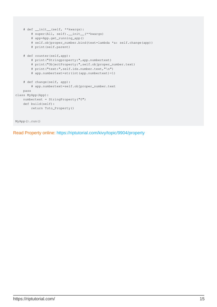```
 # def __init__(self, **kwargs):
         # super(All, self).__init__(**kwargs)
         # app=App.get_running_app()
         # self.objproper_number.bind(text=lambda *a: self.change(app))
         # print(self.parent)
     # def counter(self,app):
         # print("Stringproperty:",app.numbertext)
         # print("ObjectProperty:",self.objproper_number.text)
         # print("text:",self.ids.number.text,"\n")
         # app.numbertext=str(int(app.numbertext)+1)
     # def change(self, app):
         # app.numbertext=self.objproper_number.text
    pass
class MyApp(App):
    numbertext = StringProperty("0")
     def build(self):
         return Tuto_Property()
MyApp().run()
```
Read Property online:<https://riptutorial.com/kivy/topic/9904/property>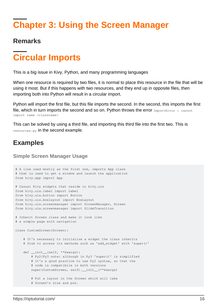# <span id="page-17-0"></span>**Chapter 3: Using the Screen Manager**

### <span id="page-17-1"></span>**Remarks**

# <span id="page-17-2"></span>**Circular Imports**

This is a big issue in Kivy, Python, and many programming languages

When one resource is required by two files, it is normal to place this resource in the file that will be using it most. But if this happens with two resources, and they end up in opposite files, then importing both into Python will result in a circular import.

Python will import the first file, but this file imports the second. In the second, this imports the first file, which in turn imports the second and so on. Python throws the error  $Im$   ${{\rm properties}}:$  cannot import name <classname>

This can be solved by using a third file, and importing this third file into the first two. This is resources.py in the second example.

### <span id="page-17-3"></span>**Examples**

#### <span id="page-17-4"></span>**Simple Screen Manager Usage**

```
# A line used mostly as the first one, imports App class
# that is used to get a window and launch the application
from kivy.app import App
# Casual Kivy widgets that reside in kivy.uix
from kivy.uix.label import Label
from kivy.uix.button import Button
from kivy.uix.boxlayout import BoxLayout
from kivy.uix.screenmanager import ScreenManager, Screen
from kivy.uix.screenmanager import SlideTransition
# Inherit Screen class and make it look like
# a simple page with navigation
class CustomScreen(Screen):
     # It's necessary to initialize a widget the class inherits
     # from to access its methods such as 'add_widget' with 'super()'
     def __init__(self, **kwargs):
        # Py2/Py3 note: although in Py3 'super()' is simplified
         # it's a good practice to use Py2 syntax, so that the
         # code is compatibile in both versions
        super(CustomScreen, self).__init__(**kwargs)
         # Put a layout in the Screen which will take
         # Screen's size and pos.
```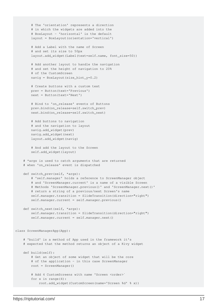```
 # The 'orientation' represents a direction
         # in which the widgets are added into the
         # BoxLayout - 'horizontal' is the default
         layout = BoxLayout(orientation='vertical')
         # Add a Label with the name of Screen
         # and set its size to 50px
         layout.add_widget(Label(text=self.name, font_size=50))
         # Add another layout to handle the navigation
         # and set the height of navigation to 20%
         # of the CustomScreen
         navig = BoxLayout(size_hint_y=0.2)
         # Create buttons with a custom text
         prev = Button(text='Previous')
         next = Button(text='Next')
         # Bind to 'on_release' events of Buttons
         prev.bind(on_release=self.switch_prev)
         next.bind(on_release=self.switch_next)
         # Add buttons to navigation
         # and the navigation to layout
         navig.add_widget(prev)
         navig.add_widget(next)
         layout.add_widget(navig)
         # And add the layout to the Screen
         self.add_widget(layout)
     # *args is used to catch arguments that are returned
     # when 'on_release' event is dispatched
     def switch_prev(self, *args):
         # 'self.manager' holds a reference to ScreenManager object
         # and 'ScreenManager.current' is a name of a visible Screen
         # Methods 'ScreenManager.previous()' and 'ScreenManager.next()'
         # return a string of a previous/next Screen's name
         self.manager.transition = SlideTransition(direction="right")
         self.manager.current = self.manager.previous()
     def switch_next(self, *args):
         self.manager.transition = SlideTransition(direction="right")
         self.manager.current = self.manager.next()
class ScreenManagerApp(App):
     # 'build' is a method of App used in the framework it's
     # expected that the method returns an object of a Kivy widget
     def build(self):
         # Get an object of some widget that will be the core
         # of the application - in this case ScreenManager
         root = ScreenManager()
         # Add 4 CustomScreens with name 'Screen <order>`
        for x in range(4):
             root.add_widget(CustomScreen(name='Screen %d' % x))
```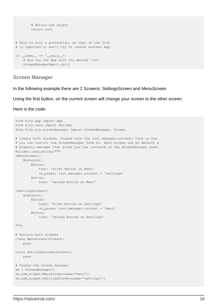```
 # Return the object
         return root
# This is only a protection, so that if the file
# is imported it won't try to launch another App
if __name__ == '__main__': # And run the App with its method 'run'
     ScreenManagerApp().run()
```
#### <span id="page-19-0"></span>**Screen Manager**

In the following example there are 2 Screens: SettingsScreen and MenuScreen

Using the first button, on the current screen will change your screen to the other screen.

Here is the code:

```
from kivy.app import App
from kivy.lang import Builder
from kivy.uix.screenmanager import ScreenManager, Screen
# Create both screens. Please note the root.manager.current: this is how
# you can control the ScreenManager from kv. Each screen has by default a
# property manager that gives you the instance of the ScreenManager used.
Builder.load_string("""
<MenuScreen>:
    BoxLayout:
        Button:
            text: 'First Button on Menu'
            on_press: root.manager.current = 'settings'
         Button:
             text: 'Second Button on Menu'
<SettingsScreen>:
     BoxLayout:
         Button:
             text: 'First Button on Settings'
            on_press: root.manager.current = 'menu'
         Button:
             text: 'Second Button on Settings'
""")
# Declare both screens
class MenuScreen(Screen):
     pass
class SettingsScreen(Screen):
    pass
# Create the screen manager
sm = ScreenManager()
sm.add_widget(MenuScreen(name='menu'))
sm.add_widget(SettingsScreen(name='settings'))
```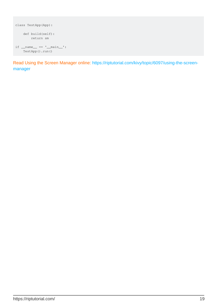```
class TestApp(App):
    def build(self):
       return sm
if __name__ == '__main__': TestApp().run()
```
Read Using the Screen Manager online: [https://riptutorial.com/kivy/topic/6097/using-the-screen](https://riptutorial.com/kivy/topic/6097/using-the-screen-manager)[manager](https://riptutorial.com/kivy/topic/6097/using-the-screen-manager)